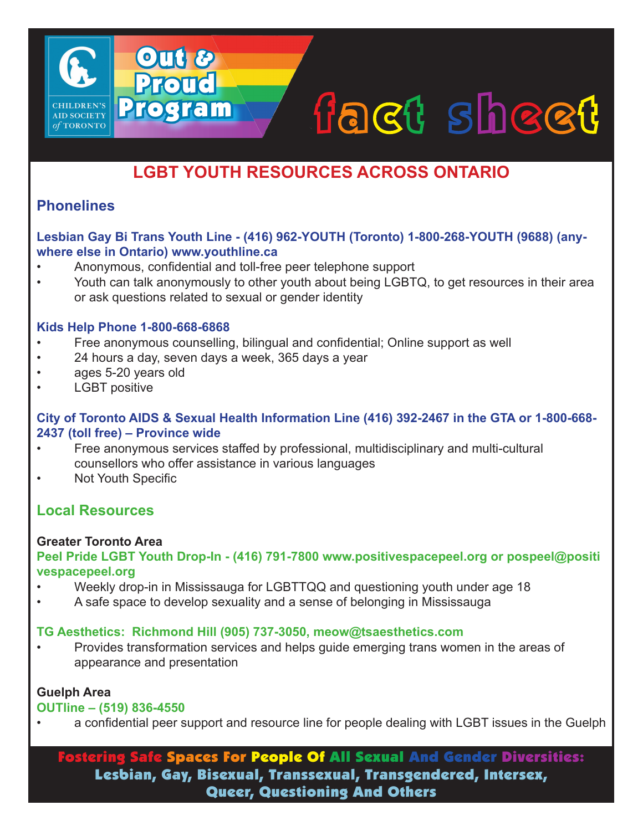# fact sheet

# **LGBT YOUTH RESOURCES ACROSS ONTARIO**

# **Phonelines**

**AID SOCIETY** of TORONTO

#### **Lesbian Gay Bi Trans Youth Line - (416) 962-YOUTH (Toronto) 1-800-268-YOUTH (9688) (anywhere else in Ontario) www.youthline.ca**

- Anonymous, confidential and toll-free peer telephone support
- Youth can talk anonymously to other youth about being LGBTQ, to get resources in their area or ask questions related to sexual or gender identity

#### **Kids Help Phone 1-800-668-6868**

- Free anonymous counselling, bilingual and confidential; Online support as well
- 24 hours a day, seven days a week, 365 days a year

Out &

Proud

Program

- ages 5-20 years old
- **LGBT** positive

#### **City of Toronto AIDS & Sexual Health Information Line (416) 392-2467 in the GTA or 1-800-668- 2437 (toll free) – Province wide**

- Free anonymous services staffed by professional, multidisciplinary and multi-cultural counsellors who offer assistance in various languages
- **Not Youth Specific**

# **Local Resources**

#### **Greater Toronto Area**

#### **Peel Pride LGBT Youth Drop-In - (416) 791-7800 www.positivespacepeel.org or pospeel@positi vespacepeel.org**

- Weekly drop-in in Mississauga for LGBTTQQ and questioning youth under age 18
- A safe space to develop sexuality and a sense of belonging in Mississauga

#### **TG Aesthetics: Richmond Hill (905) 737-3050, meow@tsaesthetics.com**

• Provides transformation services and helps guide emerging trans women in the areas of appearance and presentation

#### **Guelph Area**

#### **OUTline – (519) 836-4550**

• a confidential peer support and resource line for people dealing with LGBT issues in the Guelph

Fostering Safe Spaces For People Of All Sexual And Gender Diversities: Lesbian, Gay, Bisexual, Transsexual, Transgendered, Intersex, Queer, Questioning And Others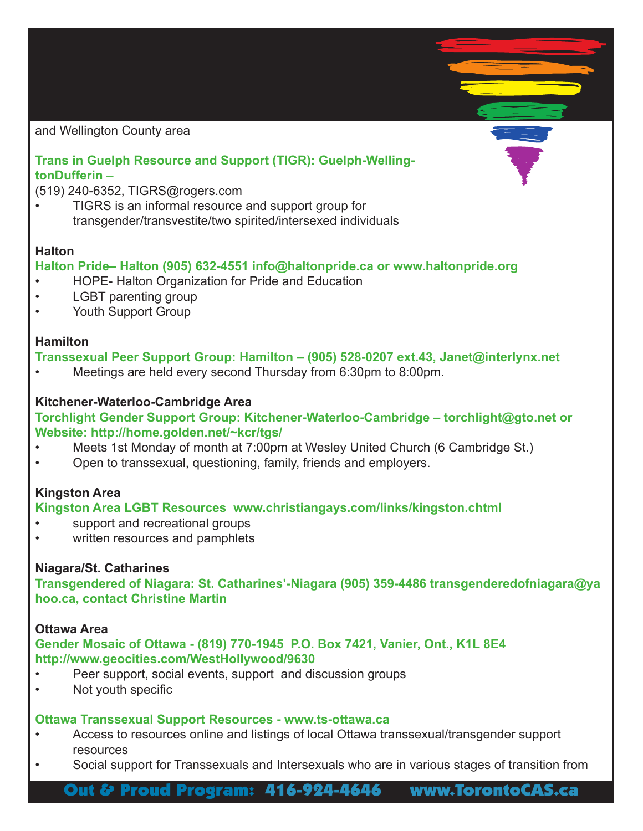and Wellington County area

### **Trans in Guelph Resource and Support (TIGR): Guelph-WellingtonDufferin** –

(519) 240-6352, TIGRS@rogers.com

• TIGRS is an informal resource and support group for transgender/transvestite/two spirited/intersexed individuals

#### **Halton**

#### **Halton Pride– Halton (905) 632-4551 info@haltonpride.ca or www.haltonpride.org**

- HOPE- Halton Organization for Pride and Education
- LGBT parenting group
- Youth Support Group

#### **Hamilton**

#### **Transsexual Peer Support Group: Hamilton – (905) 528-0207 ext.43, Janet@interlynx.net**

• Meetings are held every second Thursday from 6:30pm to 8:00pm.

#### **Kitchener-Waterloo-Cambridge Area**

#### **Torchlight Gender Support Group: Kitchener-Waterloo-Cambridge – torchlight@gto.net or Website: http://home.golden.net/~kcr/tgs/**

- Meets 1st Monday of month at 7:00pm at Wesley United Church (6 Cambridge St.)
- Open to transsexual, questioning, family, friends and employers.

#### **Kingston Area**

#### **Kingston Area LGBT Resources www.christiangays.com/links/kingston.chtml**

- support and recreational groups
- written resources and pamphlets

#### **Niagara/St. Catharines**

**Transgendered of Niagara: St. Catharines'-Niagara (905) 359-4486 transgenderedofniagara@ya hoo.ca, contact Christine Martin**

#### **Ottawa Area**

#### **Gender Mosaic of Ottawa - (819) 770-1945 P.O. Box 7421, Vanier, Ont., K1L 8E4 http://www.geocities.com/WestHollywood/9630**

- Peer support, social events, support and discussion groups
- Not youth specific

#### **Ottawa Transsexual Support Resources - www.ts-ottawa.ca**

- Access to resources online and listings of local Ottawa transsexual/transgender support resources
- Social support for Transsexuals and Intersexuals who are in various stages of transition from

## Out & Proud Program: 416-924-4646 www.TorontoCAS.ca